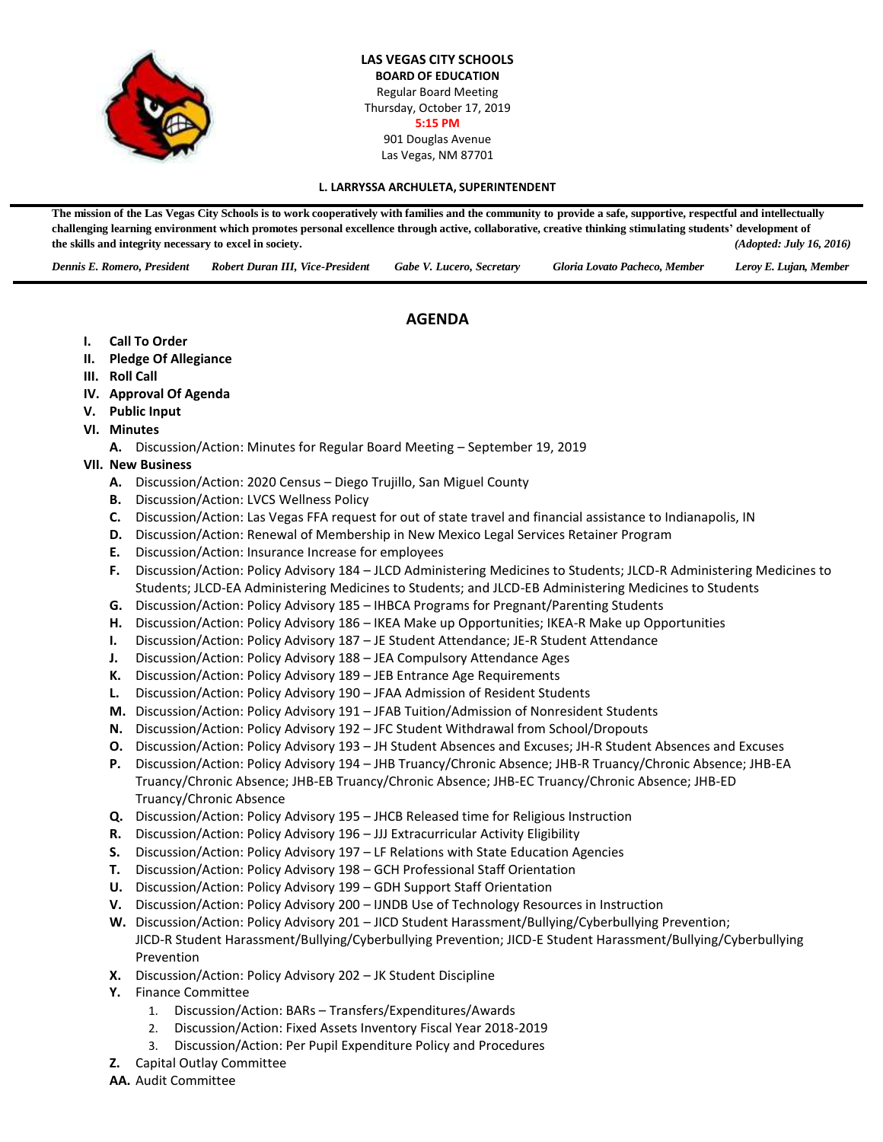

**LAS VEGAS CITY SCHOOLS BOARD OF EDUCATION** Regular Board Meeting Thursday, October 17, 2019 **5:15 PM** 901 Douglas Avenue Las Vegas, NM 87701

#### **L. LARRYSSA ARCHULETA, SUPERINTENDENT**

The mission of the Las Vegas City Schools is to work cooperatively with families and the community to provide a safe, supportive, respectful and intellectually **challenging learning environment which promotes personal excellence through active, collaborative, creative thinking stimulating students' development of the skills and integrity necessary to excel in society.** *(Adopted: July 16, 2016)*

*Dennis E. Romero, President Robert Duran III, Vice-President Gabe V. Lucero, Secretary Gloria Lovato Pacheco, Member Leroy E. Lujan, Member*

# **AGENDA**

- **I. Call To Order**
- **II. Pledge Of Allegiance**
- **III. Roll Call**
- **IV. Approval Of Agenda**
- **V. Public Input**
- **VI. Minutes**
	- **A.** Discussion/Action: Minutes for Regular Board Meeting September 19, 2019
- **VII. New Business**
	- **A.** Discussion/Action: 2020 Census Diego Trujillo, San Miguel County
	- **B.** Discussion/Action: LVCS Wellness Policy
	- **C.** Discussion/Action: Las Vegas FFA request for out of state travel and financial assistance to Indianapolis, IN
	- **D.** Discussion/Action: Renewal of Membership in New Mexico Legal Services Retainer Program
	- **E.** Discussion/Action: Insurance Increase for employees
	- **F.** Discussion/Action: Policy Advisory 184 JLCD Administering Medicines to Students; JLCD-R Administering Medicines to Students; JLCD-EA Administering Medicines to Students; and JLCD-EB Administering Medicines to Students
	- **G.** Discussion/Action: Policy Advisory 185 IHBCA Programs for Pregnant/Parenting Students
	- **H.** Discussion/Action: Policy Advisory 186 IKEA Make up Opportunities; IKEA-R Make up Opportunities
	- **I.** Discussion/Action: Policy Advisory 187 JE Student Attendance; JE-R Student Attendance
	- **J.** Discussion/Action: Policy Advisory 188 JEA Compulsory Attendance Ages
	- **K.** Discussion/Action: Policy Advisory 189 JEB Entrance Age Requirements
	- **L.** Discussion/Action: Policy Advisory 190 JFAA Admission of Resident Students
	- **M.** Discussion/Action: Policy Advisory 191 JFAB Tuition/Admission of Nonresident Students
	- **N.** Discussion/Action: Policy Advisory 192 JFC Student Withdrawal from School/Dropouts
	- **O.** Discussion/Action: Policy Advisory 193 JH Student Absences and Excuses; JH-R Student Absences and Excuses
	- **P.** Discussion/Action: Policy Advisory 194 JHB Truancy/Chronic Absence; JHB-R Truancy/Chronic Absence; JHB-EA Truancy/Chronic Absence; JHB-EB Truancy/Chronic Absence; JHB-EC Truancy/Chronic Absence; JHB-ED Truancy/Chronic Absence
	- **Q.** Discussion/Action: Policy Advisory 195 JHCB Released time for Religious Instruction
	- **R.** Discussion/Action: Policy Advisory 196 JJJ Extracurricular Activity Eligibility
	- **S.** Discussion/Action: Policy Advisory 197 LF Relations with State Education Agencies
	- **T.** Discussion/Action: Policy Advisory 198 GCH Professional Staff Orientation
	- **U.** Discussion/Action: Policy Advisory 199 GDH Support Staff Orientation
	- **V.** Discussion/Action: Policy Advisory 200 IJNDB Use of Technology Resources in Instruction
	- **W.** Discussion/Action: Policy Advisory 201 JICD Student Harassment/Bullying/Cyberbullying Prevention; JICD-R Student Harassment/Bullying/Cyberbullying Prevention; JICD-E Student Harassment/Bullying/Cyberbullying Prevention
	- **X.** Discussion/Action: Policy Advisory 202 JK Student Discipline
	- **Y.** Finance Committee
		- 1. Discussion/Action: BARs Transfers/Expenditures/Awards
		- 2. Discussion/Action: Fixed Assets Inventory Fiscal Year 2018-2019
		- 3. Discussion/Action: Per Pupil Expenditure Policy and Procedures
	- **Z.** Capital Outlay Committee
	- **AA.** Audit Committee